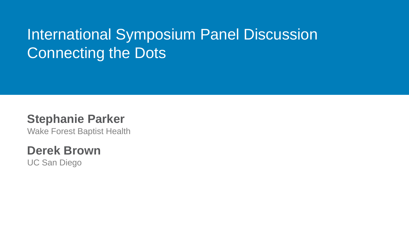### International Symposium Panel Discussion Connecting the Dots

### **Stephanie Parker**

Wake Forest Baptist Health

### **Derek Brown**

UC San Diego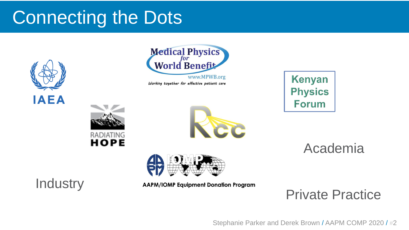# Connecting the Dots





Working together for effective patient care







Academia

**Industry** 

**AAPM/IOMP Equipment Donation Program** 

Private Practice

Stephanie Parker and Derek Brown / AAPM COMP 2020 / #2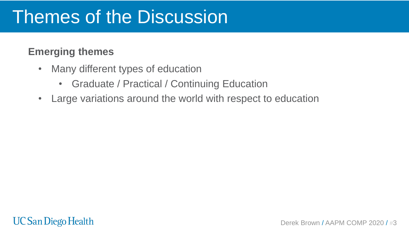- Many different types of education
	- Graduate / Practical / Continuing Education
- Large variations around the world with respect to education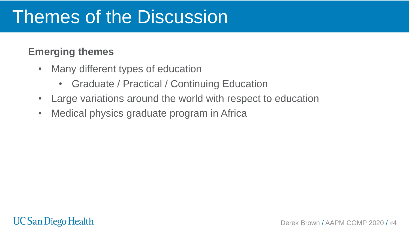- Many different types of education
	- Graduate / Practical / Continuing Education
- Large variations around the world with respect to education
- Medical physics graduate program in Africa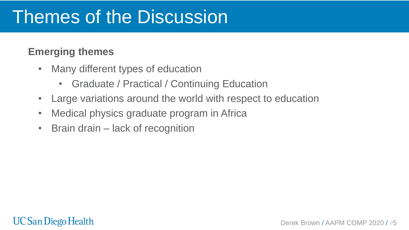- Many different types of education
	- Graduate / Practical / Continuing Education
- Large variations around the world with respect to education
- Medical physics graduate program in Africa
- Brain drain lack of recognition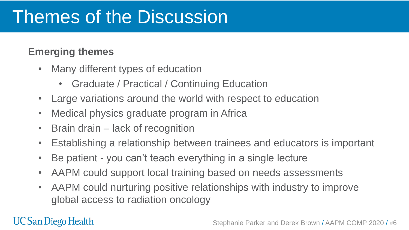#### **Emerging themes**

- Many different types of education
	- Graduate / Practical / Continuing Education
- Large variations around the world with respect to education
- Medical physics graduate program in Africa
- Brain drain lack of recognition
- Establishing a relationship between trainees and educators is important
- Be patient you can't teach everything in a single lecture
- AAPM could support local training based on needs assessments
- AAPM could nurturing positive relationships with industry to improve global access to radiation oncology

### **UC San Diego Health**

#### Stephanie Parker and Derek Brown / AAPM COMP 2020 / #6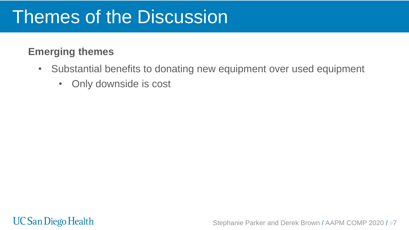- Substantial benefits to donating new equipment over used equipment
	- Only downside is cost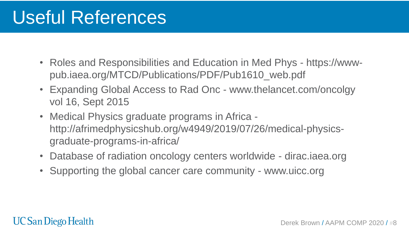# Useful References

- Roles and Responsibilities and Education in Med Phys https://wwwpub.iaea.org/MTCD/Publications/PDF/Pub1610\_web.pdf
- Expanding Global Access to Rad Onc www.thelancet.com/oncolgy vol 16, Sept 2015
- Medical Physics graduate programs in Africa http://afrimedphysicshub.org/w4949/2019/07/26/medical-physicsgraduate-programs-in-africa/
- Database of radiation oncology centers worldwide dirac.iaea.org
- Supporting the global cancer care community www.uicc.org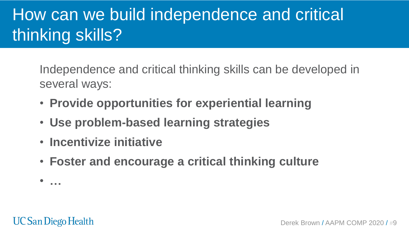# How can we build independence and critical thinking skills?

Independence and critical thinking skills can be developed in several ways:

- **Provide opportunities for experiential learning**
- **Use problem-based learning strategies**
- **Incentivize initiative**
- **Foster and encourage a critical thinking culture**

• **…**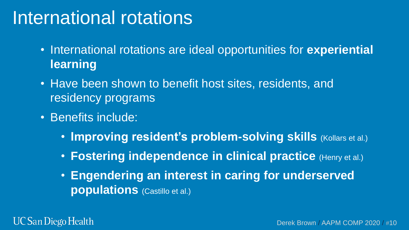## International rotations

- International rotations are ideal opportunities for **experiential learning**
- Have been shown to benefit host sites, residents, and residency programs
- Benefits include:
	- **Improving resident's problem-solving skills (Kollars et al.)**
	- **Fostering independence in clinical practice** (Henry et al.)
	- **Engendering an interest in caring for underserved populations** (Castillo et al.)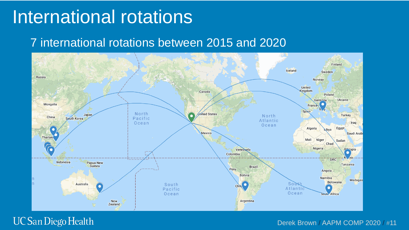### International rotations

### 7 international rotations between 2015 and 2020



#### **UC San Diego Health**

Derek Brown / AAPM COMP 2020 / #11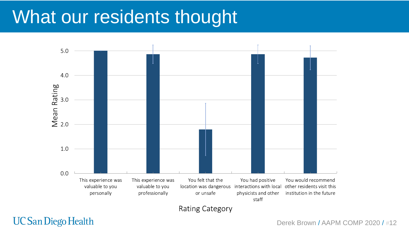## What our residents thought



**Rating Category** 

**UC San Diego Health** 

Derek Brown / AAPM COMP 2020 / #12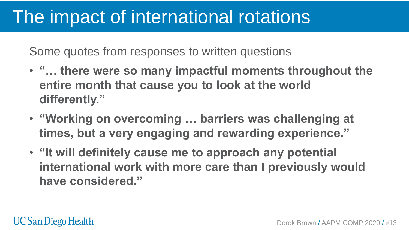## The impact of international rotations

Some quotes from responses to written questions

- **"… there were so many impactful moments throughout the entire month that cause you to look at the world differently."**
- **"Working on overcoming … barriers was challenging at times, but a very engaging and rewarding experience."**
- **"It will definitely cause me to approach any potential international work with more care than I previously would have considered."**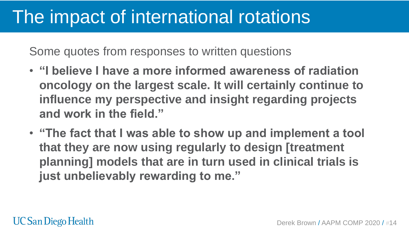## The impact of international rotations

Some quotes from responses to written questions

- **"I believe I have a more informed awareness of radiation oncology on the largest scale. It will certainly continue to influence my perspective and insight regarding projects and work in the field."**
- **"The fact that I was able to show up and implement a tool that they are now using regularly to design [treatment planning] models that are in turn used in clinical trials is just unbelievably rewarding to me."**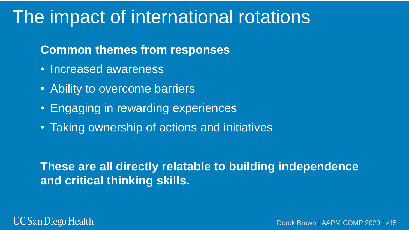### The impact of international rotations

### **Common themes from responses**

- Increased awareness
- Ability to overcome barriers
- Engaging in rewarding experiences
- Taking ownership of actions and initiatives

### **These are all directly relatable to building independence and critical thinking skills.**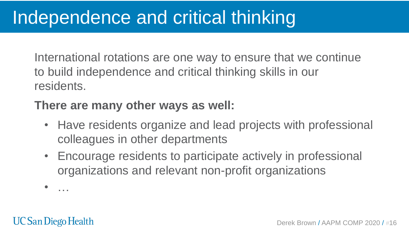International rotations are one way to ensure that we continue to build independence and critical thinking skills in our residents.

### **There are many other ways as well:**

- Have residents organize and lead projects with professional colleagues in other departments
- Encourage residents to participate actively in professional organizations and relevant non-profit organizations

• …